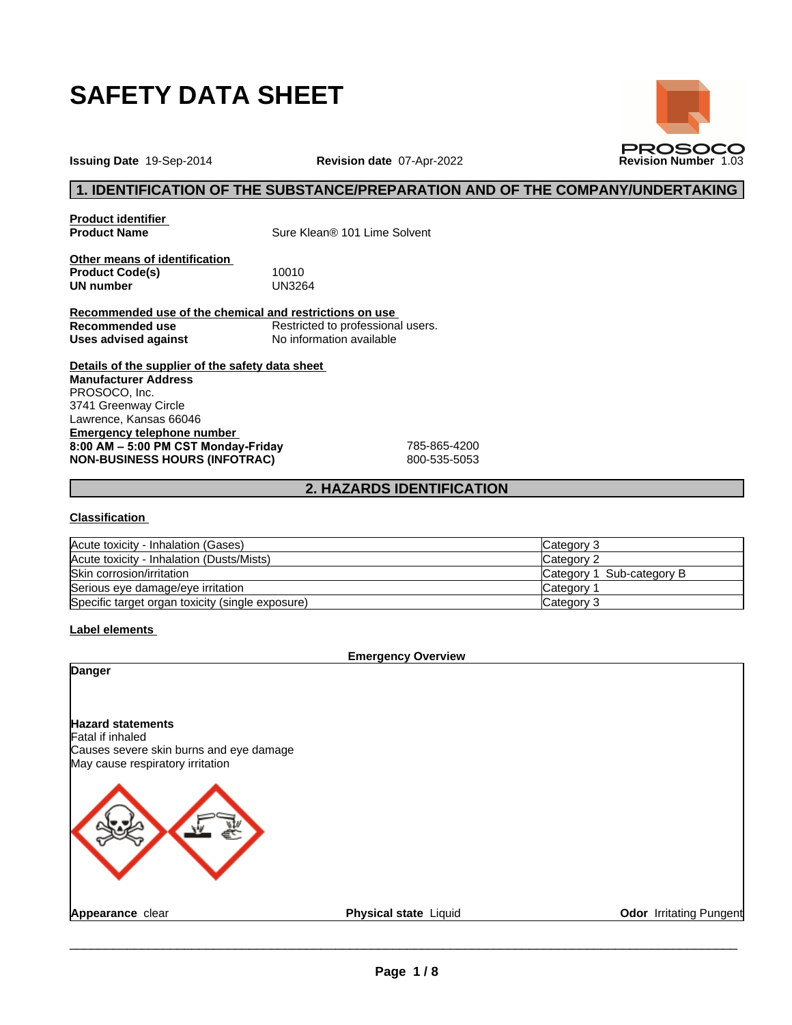

**Issuing Date** 19-Sep-2014 **Revision date** 07-Apr-2022 **Revision Number** 1.03

## **1. IDENTIFICATION OF THE SUBSTANCE/PREPARATION AND OF THE COMPANY/UNDERTAKING**

**PROSOCO** 

**Product identifier**

**Sure Klean® 101 Lime Solvent** 

**Other means of identification Product Code(s)** 10010<br> **UN number** UN3264 **UN number** 

**Recommended use of the chemical and restrictions on use Recommended use**<br> **Uses advised against**<br>
No information available **No information available** 

**Details of the supplier of the safety data sheet Emergency telephone number 8:00AM–5:00PMCSTMonday-Friday** 785-865-4200 **NON-BUSINESS HOURS (INFOTRAC)** 800-535-5053 **Manufacturer Address** PROSOCO, Inc. 3741 Greenway Circle Lawrence, Kansas 66046

## **2. HAZARDS IDENTIFICATION**

### **Classification**

| Acute toxicity - Inhalation (Gases)              | Category 3                |
|--------------------------------------------------|---------------------------|
| Acute toxicity - Inhalation (Dusts/Mists)        | Category 2                |
| Skin corrosion/irritation                        | Category 1 Sub-category B |
| Serious eye damage/eye irritation                | Category                  |
| Specific target organ toxicity (single exposure) | Category 3                |

**Label elements**

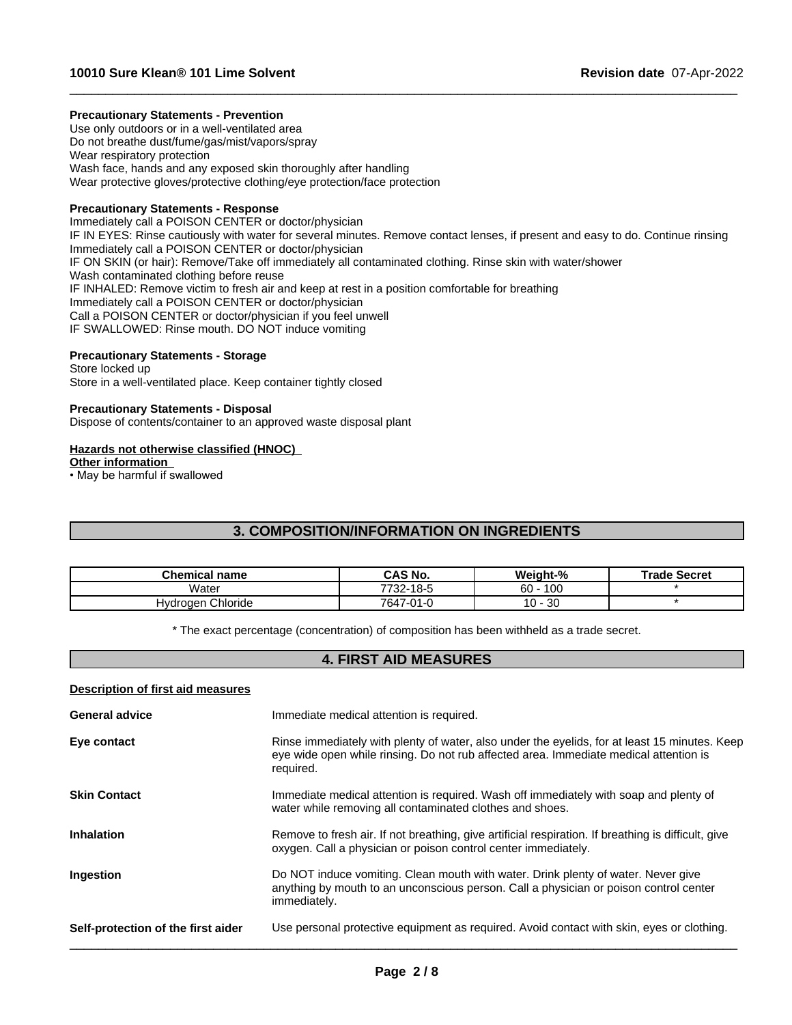### **Precautionary Statements - Prevention**

Use only outdoors or in a well-ventilated area Do not breathe dust/fume/gas/mist/vapors/spray Wear respiratory protection Wash face, hands and any exposed skin thoroughly after handling Wear protective gloves/protective clothing/eye protection/face protection

### **Precautionary Statements - Response**

Immediately call a POISON CENTER or doctor/physician IF IN EYES: Rinse cautiously with water for several minutes. Remove contact lenses, if present and easy to do. Continue rinsing Immediately call a POISON CENTER or doctor/physician IF ON SKIN (or hair): Remove/Take off immediately all contaminated clothing. Rinse skin with water/shower Wash contaminated clothing before reuse IF INHALED: Remove victim to fresh air and keep at rest in a position comfortable for breathing Immediately call a POISON CENTER or doctor/physician Call a POISON CENTER or doctor/physician if you feel unwell IF SWALLOWED: Rinse mouth. DO NOT induce vomiting

 $\_$  ,  $\_$  ,  $\_$  ,  $\_$  ,  $\_$  ,  $\_$  ,  $\_$  ,  $\_$  ,  $\_$  ,  $\_$  ,  $\_$  ,  $\_$  ,  $\_$  ,  $\_$  ,  $\_$  ,  $\_$  ,  $\_$  ,  $\_$  ,  $\_$  ,  $\_$  ,  $\_$  ,  $\_$  ,  $\_$  ,  $\_$  ,  $\_$  ,  $\_$  ,  $\_$  ,  $\_$  ,  $\_$  ,  $\_$  ,  $\_$  ,  $\_$  ,  $\_$  ,  $\_$  ,  $\_$  ,  $\_$  ,  $\_$  ,

## **Precautionary Statements - Storage**

Store locked up Store in a well-ventilated place. Keep container tightly closed

### **Precautionary Statements - Disposal**

Dispose of contents/container to an approved waste disposal plant

### **Hazards not otherwise classified (HNOC)**

**Other information**

 $\cdot$  May be harmful if swallowed

# **3. COMPOSITION/INFORMATION ON INGREDIENTS**

| Chemical name     | <b>CAS No.</b>           | Weight-%                | <b>Trade Secret</b> |
|-------------------|--------------------------|-------------------------|---------------------|
| .<br>Water        | 7722<br>-18-5<br>∵ -∠د ، | 100<br>c٥<br>οu         |                     |
| Hydrogen Chloride | 7647<br>7-01-0           | $\Omega$<br>$10 -$<br>ು |                     |

\* The exact percentage (concentration) of composition has been withheld as a trade secret.

## **4. FIRST AID MEASURES**

### **Description of first aid measures**

| <b>General advice</b>              | Immediate medical attention is required.                                                                                                                                                            |
|------------------------------------|-----------------------------------------------------------------------------------------------------------------------------------------------------------------------------------------------------|
| Eye contact                        | Rinse immediately with plenty of water, also under the eyelids, for at least 15 minutes. Keep<br>eye wide open while rinsing. Do not rub affected area. Immediate medical attention is<br>required. |
| <b>Skin Contact</b>                | Immediate medical attention is required. Wash off immediately with soap and plenty of<br>water while removing all contaminated clothes and shoes.                                                   |
| <b>Inhalation</b>                  | Remove to fresh air. If not breathing, give artificial respiration. If breathing is difficult, give<br>oxygen. Call a physician or poison control center immediately.                               |
| Ingestion                          | Do NOT induce vomiting. Clean mouth with water. Drink plenty of water. Never give<br>anything by mouth to an unconscious person. Call a physician or poison control center<br>immediately.          |
| Self-protection of the first aider | Use personal protective equipment as required. Avoid contact with skin, eyes or clothing.                                                                                                           |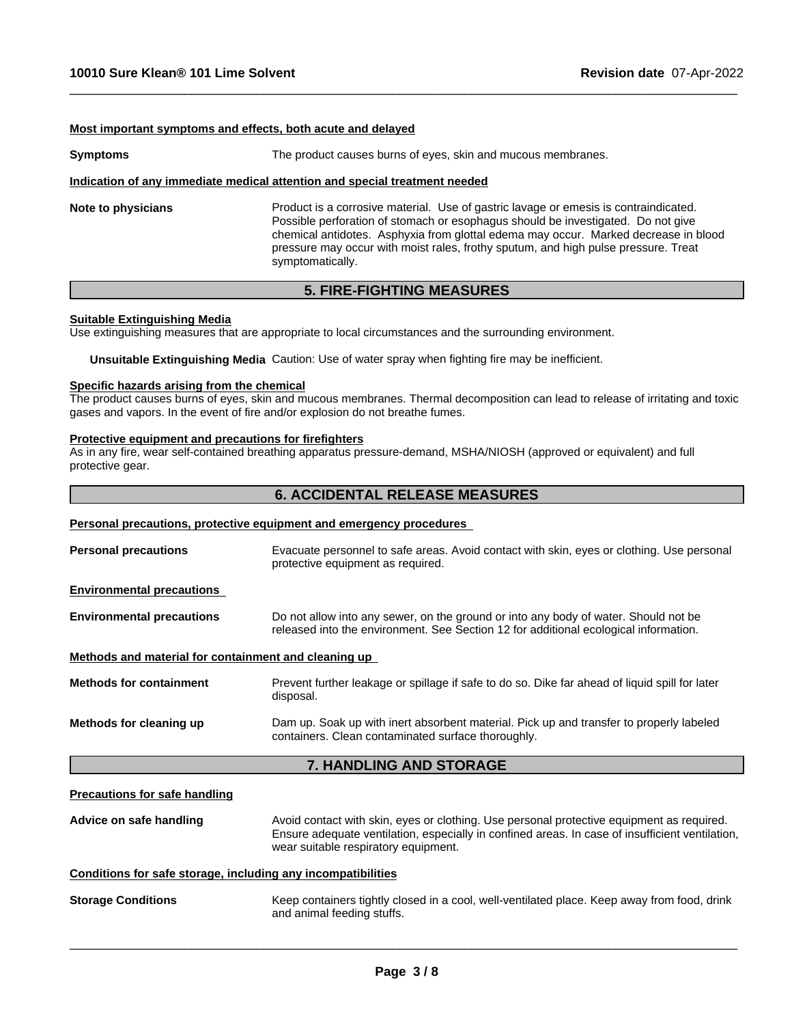### **Most important symptoms and effects, both acute and delayed**

| <b>Symptoms</b>    | The product causes burns of eyes, skin and mucous membranes.                                                                                                                                                                                                                                                                                                              |  |  |
|--------------------|---------------------------------------------------------------------------------------------------------------------------------------------------------------------------------------------------------------------------------------------------------------------------------------------------------------------------------------------------------------------------|--|--|
|                    | Indication of any immediate medical attention and special treatment needed                                                                                                                                                                                                                                                                                                |  |  |
| Note to physicians | Product is a corrosive material. Use of gastric lavage or emesis is contraindicated.<br>Possible perforation of stomach or esophagus should be investigated. Do not give<br>chemical antidotes. Asphyxia from glottal edema may occur. Marked decrease in blood<br>pressure may occur with moist rales, frothy sputum, and high pulse pressure. Treat<br>symptomatically. |  |  |

 $\_$  ,  $\_$  ,  $\_$  ,  $\_$  ,  $\_$  ,  $\_$  ,  $\_$  ,  $\_$  ,  $\_$  ,  $\_$  ,  $\_$  ,  $\_$  ,  $\_$  ,  $\_$  ,  $\_$  ,  $\_$  ,  $\_$  ,  $\_$  ,  $\_$  ,  $\_$  ,  $\_$  ,  $\_$  ,  $\_$  ,  $\_$  ,  $\_$  ,  $\_$  ,  $\_$  ,  $\_$  ,  $\_$  ,  $\_$  ,  $\_$  ,  $\_$  ,  $\_$  ,  $\_$  ,  $\_$  ,  $\_$  ,  $\_$  ,

# **5. FIRE-FIGHTING MEASURES**

### **Suitable Extinguishing Media**

Use extinguishing measures that are appropriate to local circumstances and the surrounding environment.

**Unsuitable Extinguishing Media** Caution: Use of water spray when fighting fire may be inefficient.

# **Specific hazards arising from the chemical**

The product causes burns of eyes, skin and mucous membranes. Thermal decomposition can lead to release of irritating and toxic gases and vapors. In the event of fire and/or explosion do not breathe fumes.

#### **Protective equipment and precautions for firefighters**

As in any fire, wear self-contained breathing apparatus pressure-demand, MSHA/NIOSH (approved or equivalent) and full protective gear.

# **6. ACCIDENTAL RELEASE MEASURES**

### **Personal precautions, protective equipment and emergency procedures**

| <b>Personal precautions</b>                          | Evacuate personnel to safe areas. Avoid contact with skin, eyes or clothing. Use personal<br>protective equipment as required.                                              |
|------------------------------------------------------|-----------------------------------------------------------------------------------------------------------------------------------------------------------------------------|
| <b>Environmental precautions</b>                     |                                                                                                                                                                             |
| <b>Environmental precautions</b>                     | Do not allow into any sewer, on the ground or into any body of water. Should not be<br>released into the environment. See Section 12 for additional ecological information. |
| Methods and material for containment and cleaning up |                                                                                                                                                                             |
| <b>Methods for containment</b>                       | Prevent further leakage or spillage if safe to do so. Dike far ahead of liquid spill for later<br>disposal.                                                                 |
| Methods for cleaning up                              | Dam up. Soak up with inert absorbent material. Pick up and transfer to properly labeled<br>containers. Clean contaminated surface thoroughly.                               |
|                                                      |                                                                                                                                                                             |

## **7. HANDLING AND STORAGE**

### **Precautions for safe handling**

Advice on safe handling Avoid contact with skin, eyes or clothing. Use personal protective equipment as required.<br>Ensure adequate ventilation, especially in confined areas. In case of insufficient ventilation, wear suitable respiratory equipment.

### **Conditions for safe storage, including any incompatibilities**

**Storage Conditions** Keep containers tightly closed in a cool, well-ventilated place. Keep away from food, drink and animal feeding stuffs.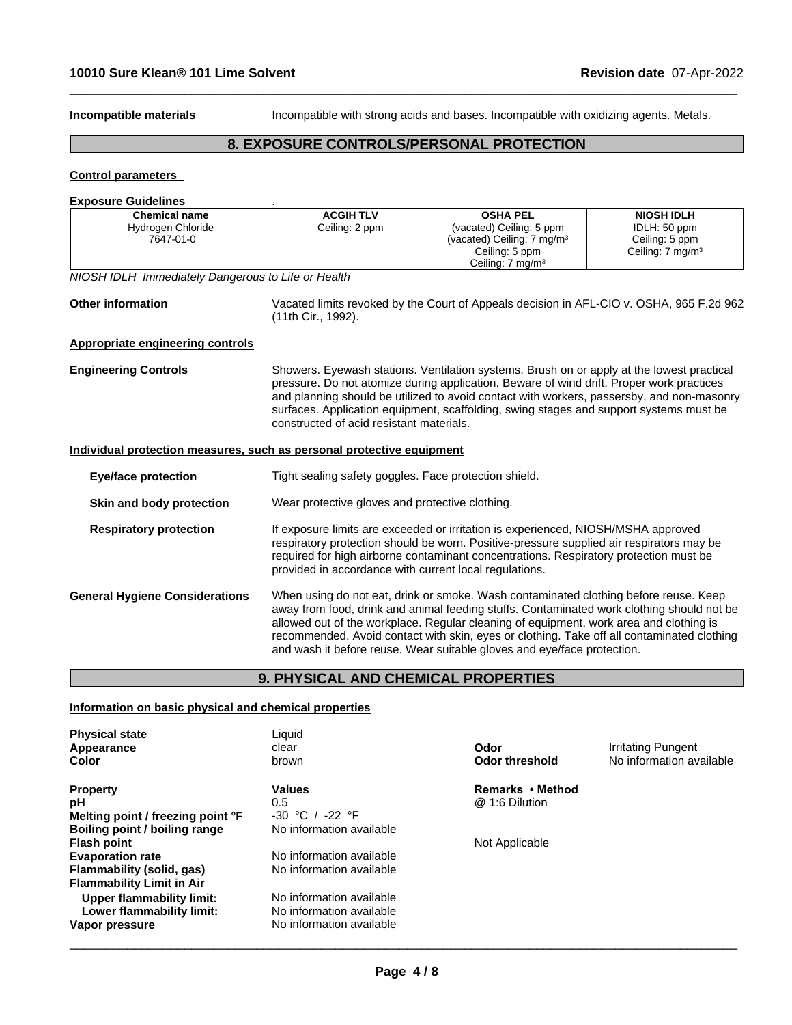**Incompatible materials** Incompatible with strong acids and bases. Incompatible with oxidizing agents. Metals.

 $\_$  ,  $\_$  ,  $\_$  ,  $\_$  ,  $\_$  ,  $\_$  ,  $\_$  ,  $\_$  ,  $\_$  ,  $\_$  ,  $\_$  ,  $\_$  ,  $\_$  ,  $\_$  ,  $\_$  ,  $\_$  ,  $\_$  ,  $\_$  ,  $\_$  ,  $\_$  ,  $\_$  ,  $\_$  ,  $\_$  ,  $\_$  ,  $\_$  ,  $\_$  ,  $\_$  ,  $\_$  ,  $\_$  ,  $\_$  ,  $\_$  ,  $\_$  ,  $\_$  ,  $\_$  ,  $\_$  ,  $\_$  ,  $\_$  ,

# **8. EXPOSURE CONTROLS/PERSONAL PROTECTION**

# **Control parameters**

## **Exposure Guidelines** .

| <b>Chemical name</b>                                                  | <b>ACGIH TLV</b>                                                                                                                                                                                                                                                                                                                                                                                                                                     | <b>OSHA PEL</b>                                                                                                                                                                                                                                                                                                                                                              | <b>NIOSH IDLH</b>                                              |
|-----------------------------------------------------------------------|------------------------------------------------------------------------------------------------------------------------------------------------------------------------------------------------------------------------------------------------------------------------------------------------------------------------------------------------------------------------------------------------------------------------------------------------------|------------------------------------------------------------------------------------------------------------------------------------------------------------------------------------------------------------------------------------------------------------------------------------------------------------------------------------------------------------------------------|----------------------------------------------------------------|
| Hydrogen Chloride<br>7647-01-0                                        | Ceiling: 2 ppm                                                                                                                                                                                                                                                                                                                                                                                                                                       | (vacated) Ceiling: 5 ppm<br>(vacated) Ceiling: 7 mg/m <sup>3</sup><br>Ceiling: 5 ppm<br>Ceiling: $7 \text{ mg/m}^3$                                                                                                                                                                                                                                                          | IDLH: 50 ppm<br>Ceiling: 5 ppm<br>Ceiling: 7 mg/m <sup>3</sup> |
| NIOSH IDLH Immediately Dangerous to Life or Health                    |                                                                                                                                                                                                                                                                                                                                                                                                                                                      |                                                                                                                                                                                                                                                                                                                                                                              |                                                                |
| <b>Other information</b>                                              | Vacated limits revoked by the Court of Appeals decision in AFL-CIO v. OSHA, 965 F.2d 962<br>(11th Cir., 1992).                                                                                                                                                                                                                                                                                                                                       |                                                                                                                                                                                                                                                                                                                                                                              |                                                                |
| <b>Appropriate engineering controls</b>                               |                                                                                                                                                                                                                                                                                                                                                                                                                                                      |                                                                                                                                                                                                                                                                                                                                                                              |                                                                |
| <b>Engineering Controls</b>                                           | constructed of acid resistant materials.                                                                                                                                                                                                                                                                                                                                                                                                             | Showers. Eyewash stations. Ventilation systems. Brush on or apply at the lowest practical<br>pressure. Do not atomize during application. Beware of wind drift. Proper work practices<br>and planning should be utilized to avoid contact with workers, passersby, and non-masonry<br>surfaces. Application equipment, scaffolding, swing stages and support systems must be |                                                                |
| Individual protection measures, such as personal protective equipment |                                                                                                                                                                                                                                                                                                                                                                                                                                                      |                                                                                                                                                                                                                                                                                                                                                                              |                                                                |
| <b>Eye/face protection</b>                                            | Tight sealing safety goggles. Face protection shield.                                                                                                                                                                                                                                                                                                                                                                                                |                                                                                                                                                                                                                                                                                                                                                                              |                                                                |
| Skin and body protection                                              | Wear protective gloves and protective clothing.                                                                                                                                                                                                                                                                                                                                                                                                      |                                                                                                                                                                                                                                                                                                                                                                              |                                                                |
| <b>Respiratory protection</b>                                         | If exposure limits are exceeded or irritation is experienced, NIOSH/MSHA approved<br>respiratory protection should be worn. Positive-pressure supplied air respirators may be<br>required for high airborne contaminant concentrations. Respiratory protection must be<br>provided in accordance with current local regulations.                                                                                                                     |                                                                                                                                                                                                                                                                                                                                                                              |                                                                |
| <b>General Hygiene Considerations</b>                                 | When using do not eat, drink or smoke. Wash contaminated clothing before reuse. Keep<br>away from food, drink and animal feeding stuffs. Contaminated work clothing should not be<br>allowed out of the workplace. Regular cleaning of equipment, work area and clothing is<br>recommended. Avoid contact with skin, eyes or clothing. Take off all contaminated clothing<br>and wash it before reuse. Wear suitable gloves and eye/face protection. |                                                                                                                                                                                                                                                                                                                                                                              |                                                                |

# **9. PHYSICAL AND CHEMICAL PROPERTIES**

## **Information on basic physical and chemical properties**

| <b>Physical state</b><br>Appearance<br>Color           | Liquid<br>clear<br>brown                             | Odor<br><b>Odor threshold</b> | Irritating Pungent<br>No information available |
|--------------------------------------------------------|------------------------------------------------------|-------------------------------|------------------------------------------------|
| <b>Property</b>                                        | Values                                               | Remarks • Method              |                                                |
| рH                                                     | 0.5                                                  | @ 1:6 Dilution                |                                                |
| Melting point / freezing point °F                      | $-30 °C /$<br>-22 °F                                 |                               |                                                |
| Boiling point / boiling range                          | No information available                             |                               |                                                |
| <b>Flash point</b>                                     |                                                      | Not Applicable                |                                                |
| <b>Evaporation rate</b>                                | No information available                             |                               |                                                |
| Flammability (solid, gas)                              | No information available                             |                               |                                                |
| <b>Flammability Limit in Air</b>                       |                                                      |                               |                                                |
| Upper flammability limit:<br>Lower flammability limit: | No information available<br>No information available |                               |                                                |
| Vapor pressure                                         | No information available                             |                               |                                                |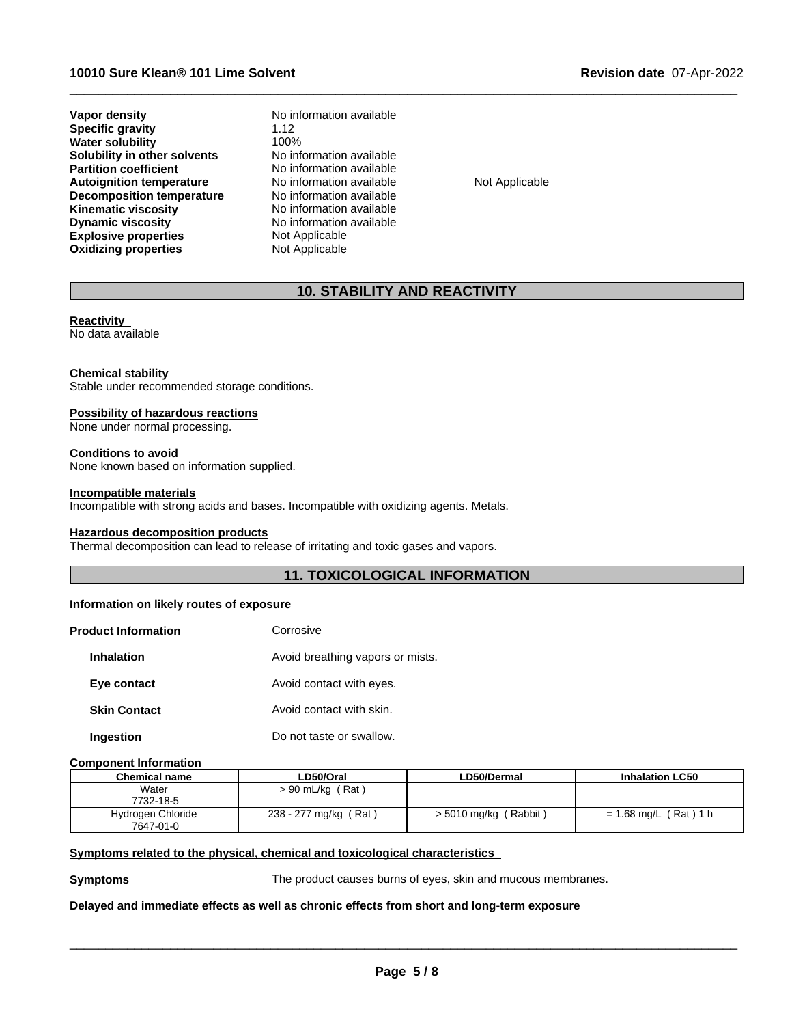**Explosive properties** Not Applicable **Oxidizing properties** Not Applicable **Vapor density No information available Specific gravity** 1.12<br> **Water solubility** 100% **Water solubility** 100%<br> **Solubility in other solvents** No information available **Solubility in other solvents**<br>**Partition coefficient Autoignition temperature No information available Not Applicable Not Applicable Decomposition temperature Not Applicable Decomposition temperature**<br>**Kinematic viscosity Kinematic viscosity**<br> **Community Dynamic viscosity**<br>
No information available

**No information available No information available** 

 $\_$  ,  $\_$  ,  $\_$  ,  $\_$  ,  $\_$  ,  $\_$  ,  $\_$  ,  $\_$  ,  $\_$  ,  $\_$  ,  $\_$  ,  $\_$  ,  $\_$  ,  $\_$  ,  $\_$  ,  $\_$  ,  $\_$  ,  $\_$  ,  $\_$  ,  $\_$  ,  $\_$  ,  $\_$  ,  $\_$  ,  $\_$  ,  $\_$  ,  $\_$  ,  $\_$  ,  $\_$  ,  $\_$  ,  $\_$  ,  $\_$  ,  $\_$  ,  $\_$  ,  $\_$  ,  $\_$  ,  $\_$  ,  $\_$  ,

# **10. STABILITY AND REACTIVITY**

# **Reactivity**

No data available

## **Chemical stability**

Stable under recommended storage conditions.

## **Possibility of hazardous reactions**

None under normal processing.

### **Conditions to avoid**

None known based on information supplied.

### **Incompatible materials**

Incompatible with strong acids and bases. Incompatible with oxidizing agents. Metals.

### **Hazardous decomposition products**

Thermal decomposition can lead to release of irritating and toxic gases and vapors.

## **11. TOXICOLOGICAL INFORMATION**

## **Information on likely routes of exposure**

| <b>Product Information</b> | Corrosive                        |
|----------------------------|----------------------------------|
| <b>Inhalation</b>          | Avoid breathing vapors or mists. |
| Eye contact                | Avoid contact with eyes.         |
| <b>Skin Contact</b>        | Avoid contact with skin.         |
| Ingestion                  | Do not taste or swallow.         |

### **Component Information**

| Chemical name     | LD50/Oral             | LD50/Dermal             | <b>Inhalation LC50</b>  |
|-------------------|-----------------------|-------------------------|-------------------------|
| Water             | (Rat)<br>> 90 mL/kg   |                         |                         |
| 7732-18-5         |                       |                         |                         |
| Hydrogen Chloride | 238 - 277 mg/kg (Rat) | $> 5010$ mg/kg (Rabbit) | $= 1.68$ mg/L (Rat) 1 h |
| 7647-01-0         |                       |                         |                         |

# **<u>Symptoms related to the physical, chemical and toxicological characteristics</u>**

**Symptoms** The product causes burns of eyes, skin and mucous membranes.

 $\overline{\phantom{a}}$  ,  $\overline{\phantom{a}}$  ,  $\overline{\phantom{a}}$  ,  $\overline{\phantom{a}}$  ,  $\overline{\phantom{a}}$  ,  $\overline{\phantom{a}}$  ,  $\overline{\phantom{a}}$  ,  $\overline{\phantom{a}}$  ,  $\overline{\phantom{a}}$  ,  $\overline{\phantom{a}}$  ,  $\overline{\phantom{a}}$  ,  $\overline{\phantom{a}}$  ,  $\overline{\phantom{a}}$  ,  $\overline{\phantom{a}}$  ,  $\overline{\phantom{a}}$  ,  $\overline{\phantom{a}}$ 

# **Delayed and immediate effects as well as chronic effects from short and long-term exposure**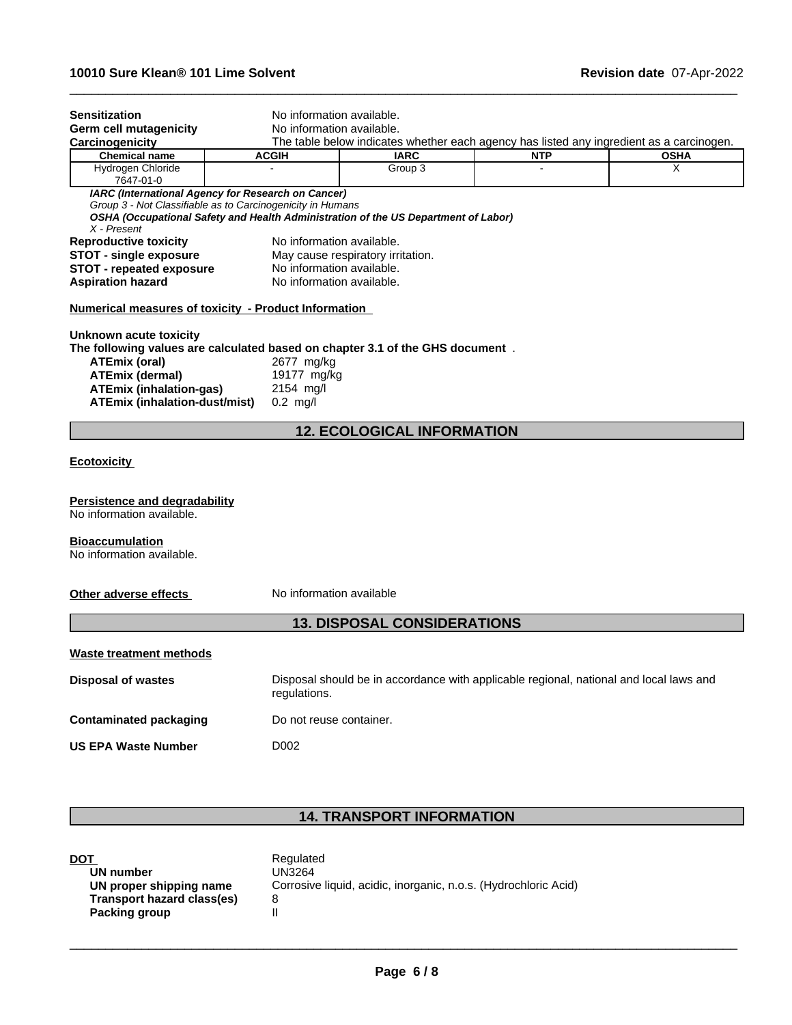| No information available.<br><b>Germ cell mutagenicity</b><br>Carcinogenicity<br>The table below indicates whether each agency has listed any ingredient as a carcinogen.<br><b>Chemical name</b><br><b>IARC</b><br><b>OSHA</b><br><b>ACGIH</b><br><b>NTP</b><br>Hydrogen Chloride<br>Group 3<br>X |  |
|----------------------------------------------------------------------------------------------------------------------------------------------------------------------------------------------------------------------------------------------------------------------------------------------------|--|
|                                                                                                                                                                                                                                                                                                    |  |
|                                                                                                                                                                                                                                                                                                    |  |
|                                                                                                                                                                                                                                                                                                    |  |
| 7647-01-0                                                                                                                                                                                                                                                                                          |  |
| IARC (International Agency for Research on Cancer)                                                                                                                                                                                                                                                 |  |
| Group 3 - Not Classifiable as to Carcinogenicity in Humans<br>OSHA (Occupational Safety and Health Administration of the US Department of Labor)<br>$X$ - Present                                                                                                                                  |  |
| No information available.<br><b>Reproductive toxicity</b>                                                                                                                                                                                                                                          |  |
| <b>STOT - single exposure</b><br>May cause respiratory irritation.                                                                                                                                                                                                                                 |  |
| No information available.<br><b>STOT - repeated exposure</b>                                                                                                                                                                                                                                       |  |
| No information available.<br><b>Aspiration hazard</b>                                                                                                                                                                                                                                              |  |
| Numerical measures of toxicity - Product Information                                                                                                                                                                                                                                               |  |
| Unknown acute toxicity                                                                                                                                                                                                                                                                             |  |
| The following values are calculated based on chapter 3.1 of the GHS document.                                                                                                                                                                                                                      |  |
| <b>ATEmix (oral)</b><br>2677 mg/kg                                                                                                                                                                                                                                                                 |  |
| <b>ATEmix (dermal)</b><br>19177 mg/kg                                                                                                                                                                                                                                                              |  |
| <b>ATEmix (inhalation-gas)</b><br>2154 mg/l<br><b>ATEmix (inhalation-dust/mist)</b>                                                                                                                                                                                                                |  |
| $0.2$ mg/l                                                                                                                                                                                                                                                                                         |  |
| <b>12. ECOLOGICAL INFORMATION</b>                                                                                                                                                                                                                                                                  |  |
| <b>Ecotoxicity</b>                                                                                                                                                                                                                                                                                 |  |
| Persistence and degradability<br>No information available.                                                                                                                                                                                                                                         |  |
|                                                                                                                                                                                                                                                                                                    |  |
| <b>Bioaccumulation</b><br>No information available.                                                                                                                                                                                                                                                |  |
| Other adverse effects<br>No information available                                                                                                                                                                                                                                                  |  |
| <b>13. DISPOSAL CONSIDERATIONS</b>                                                                                                                                                                                                                                                                 |  |
| Waste treatment methods                                                                                                                                                                                                                                                                            |  |
| Disposal should be in accordance with applicable regional, national and local laws and<br><b>Disposal of wastes</b><br>regulations.                                                                                                                                                                |  |
|                                                                                                                                                                                                                                                                                                    |  |
| Do not reuse container.                                                                                                                                                                                                                                                                            |  |
| <b>Contaminated packaging</b><br><b>US EPA Waste Number</b><br>D002                                                                                                                                                                                                                                |  |

 $\_$  ,  $\_$  ,  $\_$  ,  $\_$  ,  $\_$  ,  $\_$  ,  $\_$  ,  $\_$  ,  $\_$  ,  $\_$  ,  $\_$  ,  $\_$  ,  $\_$  ,  $\_$  ,  $\_$  ,  $\_$  ,  $\_$  ,  $\_$  ,  $\_$  ,  $\_$  ,  $\_$  ,  $\_$  ,  $\_$  ,  $\_$  ,  $\_$  ,  $\_$  ,  $\_$  ,  $\_$  ,  $\_$  ,  $\_$  ,  $\_$  ,  $\_$  ,  $\_$  ,  $\_$  ,  $\_$  ,  $\_$  ,  $\_$  ,

# **14. TRANSPORT INFORMATION**

| DOT                        | Regulated                                                       |
|----------------------------|-----------------------------------------------------------------|
| UN number                  | UN3264                                                          |
| UN proper shipping name    | Corrosive liquid, acidic, inorganic, n.o.s. (Hydrochloric Acid) |
| Transport hazard class(es) |                                                                 |
| Packing group              |                                                                 |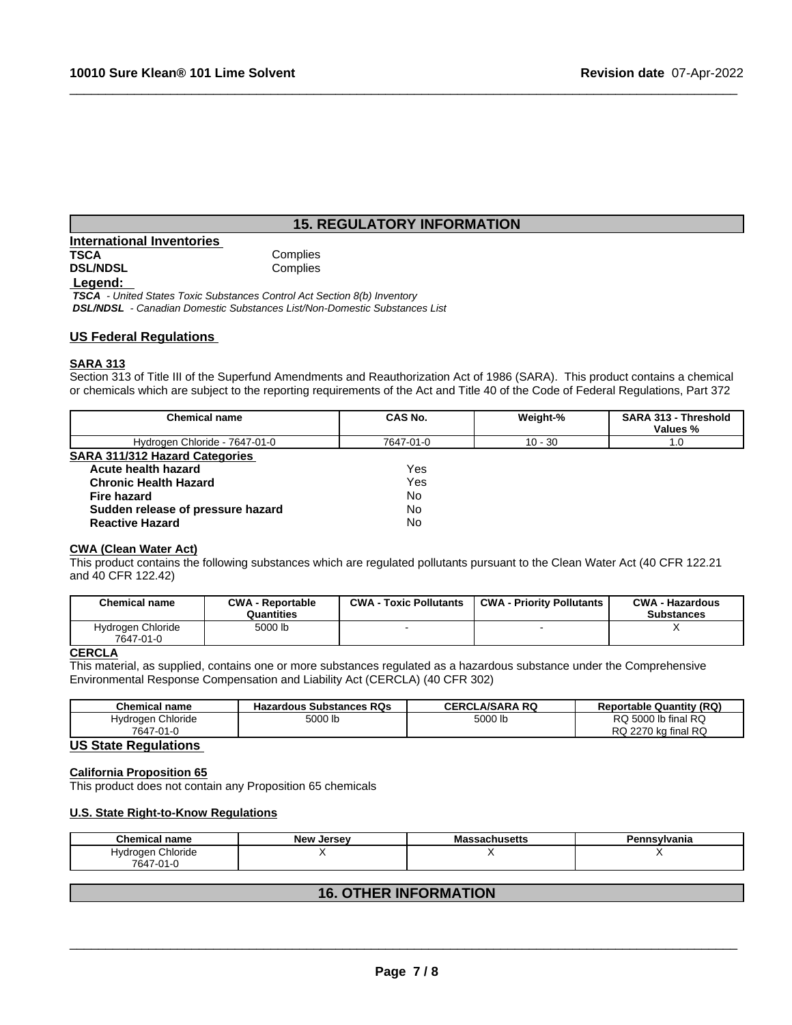# **15. REGULATORY INFORMATION**

 $\_$  ,  $\_$  ,  $\_$  ,  $\_$  ,  $\_$  ,  $\_$  ,  $\_$  ,  $\_$  ,  $\_$  ,  $\_$  ,  $\_$  ,  $\_$  ,  $\_$  ,  $\_$  ,  $\_$  ,  $\_$  ,  $\_$  ,  $\_$  ,  $\_$  ,  $\_$  ,  $\_$  ,  $\_$  ,  $\_$  ,  $\_$  ,  $\_$  ,  $\_$  ,  $\_$  ,  $\_$  ,  $\_$  ,  $\_$  ,  $\_$  ,  $\_$  ,  $\_$  ,  $\_$  ,  $\_$  ,  $\_$  ,  $\_$  ,

| <b>International Inventories</b> |          |
|----------------------------------|----------|
| TSCA                             | Complies |
| <b>DSL/NDSL</b>                  | Complies |
| Legend:                          |          |

 *TSCA - United States Toxic Substances Control Act Section 8(b) Inventory DSL/NDSL - Canadian Domestic Substances List/Non-Domestic Substances List*

## **US Federal Regulations**

## **SARA 313**

Section 313 of Title III of the Superfund Amendments and Reauthorization Act of 1986 (SARA). This product contains a chemical or chemicals which are subject to the reporting requirements of the Act and Title 40 of the Code of Federal Regulations, Part 372

| <b>Chemical name</b>                  | CAS No.   | Weight-%  | <b>SARA 313 - Threshold</b><br>Values % |  |
|---------------------------------------|-----------|-----------|-----------------------------------------|--|
| Hydrogen Chloride - 7647-01-0         | 7647-01-0 | $10 - 30$ | 1.0                                     |  |
| <b>SARA 311/312 Hazard Categories</b> |           |           |                                         |  |
| Acute health hazard                   | Yes       |           |                                         |  |
| <b>Chronic Health Hazard</b>          | Yes       |           |                                         |  |
| Fire hazard                           | No        |           |                                         |  |
| Sudden release of pressure hazard     | No        |           |                                         |  |
| <b>Reactive Hazard</b>                | No        |           |                                         |  |
|                                       |           |           |                                         |  |

### **CWA** (Clean Water Act)

This product contains the following substances which are regulated pollutants pursuant to the Clean Water Act (40 CFR 122.21 and 40 CFR 122.42)

| <b>Chemical name</b>           | <b>CWA - Reportable</b><br>Quantities | <b>CWA</b><br><b>Toxic Pollutants</b> | <b>CWA - Priority Pollutants</b> | <b>CWA - Hazardous</b><br><b>Substances</b> |
|--------------------------------|---------------------------------------|---------------------------------------|----------------------------------|---------------------------------------------|
| Hydrogen Chloride<br>7647-01-0 | 5000 lb                               |                                       |                                  |                                             |

## **CERCLA**

This material, as supplied, contains one or more substances regulated as a hazardous substance under the Comprehensive Environmental Response Compensation and Liability Act (CERCLA) (40 CFR 302)

| <b>Chemical name</b>                    | : Substances RQs<br>Hazardous | .A/SARA RQ<br>CERC' | (RQ)<br><b>Reportable Quantity</b>  |
|-----------------------------------------|-------------------------------|---------------------|-------------------------------------|
| Chloride<br>Hvdrogen                    | 5000 lu                       | 5000 ll             | RQ 5000 lb final RQ                 |
| 7647<br>$\mathbf{A}$<br>. .<br>. .<br>ີ |                               |                     | RQ<br><b>RQ</b><br>חדרה<br>kɑ final |

# **US State Regulations**

## **California Proposition 65**

This product does not contain any Proposition 65 chemicals

### **U.S. State Right-to-Know Regulations**

| <b>Chemical name</b>                         | <b>New</b><br>Jersev | Massachusetts | Pennsylvania |
|----------------------------------------------|----------------------|---------------|--------------|
| <b></b><br>Chloride<br>Hvdrogen<br>7647-01-L |                      |               |              |
|                                              |                      |               |              |

# **16. OTHER INFORMATION**